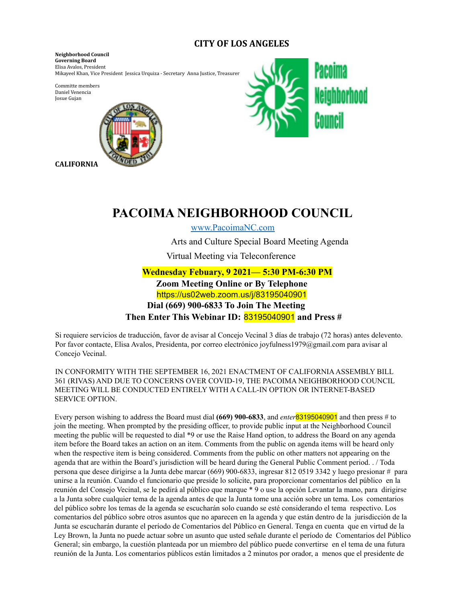# **CITY OF LOS ANGELES**

**Neighborhood Council Governing Board** Elisa Avalos, President Mikayeel Khan, Vice President Jessica Urquiza - Secretary Anna Justice, Treasurer

Committe members Daniel Venencia Josue Gujan



**CALIFORNIA**



# **PACOIMA NEIGHBORHOOD COUNCIL**

www.PacoimaNC.com

Arts and Culture Special Board Meeting Agenda

Virtual Meeting via Teleconference

**Wednesday Febuary, 9 2021— 5:30 PM-6:30 PM Zoom Meeting Online or By Telephone** https://us02web.zoom.us/j/83195040901 **Dial (669) 900-6833 To Join The Meeting Then Enter This Webinar ID:** 83195040901 **and Press #**

Si requiere servicios de traducción, favor de avisar al Concejo Vecinal 3 días de trabajo (72 horas) antes delevento. Por favor contacte, Elisa Avalos, Presidenta, por correo electrónico joyfulness1979@gmail.com para avisar al Concejo Vecinal.

IN CONFORMITY WITH THE SEPTEMBER 16, 2021 ENACTMENT OF CALIFORNIAASSEMBLY BILL 361 (RIVAS) AND DUE TO CONCERNS OVER COVID-19, THE PACOIMA NEIGHBORHOOD COUNCIL MEETING WILL BE CONDUCTED ENTIRELY WITH A CALL-IN OPTION OR INTERNET-BASED SERVICE OPTION.

Every person wishing to address the Board must dial **(669) 900-6833**, and *enter*83195040901 and then press # to join the meeting. When prompted by the presiding officer, to provide public input at the Neighborhood Council meeting the public will be requested to dial \*9 or use the Raise Hand option, to address the Board on any agenda item before the Board takes an action on an item. Comments from the public on agenda items will be heard only when the respective item is being considered. Comments from the public on other matters not appearing on the agenda that are within the Board's jurisdiction will be heard during the General Public Comment period. . / Toda persona que desee dirigirse a la Junta debe marcar (669) 900-6833, ingresar 812 0519 3342 y luego presionar # para unirse a la reunión. Cuando el funcionario que preside lo solicite, para proporcionar comentarios del público en la reunión del Consejo Vecinal, se le pedirá al público que marque \* 9 o use la opción Levantar la mano, para dirigirse a la Junta sobre cualquier tema de la agenda antes de que la Junta tome una acción sobre un tema. Los comentarios del público sobre los temas de la agenda se escucharán solo cuando se esté considerando el tema respectivo. Los comentarios del público sobre otros asuntos que no aparecen en la agenda y que están dentro de la jurisdicción de la Junta se escucharán durante el período de Comentarios del Público en General. Tenga en cuenta que en virtud de la Ley Brown, la Junta no puede actuar sobre un asunto que usted señale durante el período de Comentarios del Público General; sin embargo, la cuestión planteada por un miembro del público puede convertirse en el tema de una futura reunión de la Junta. Los comentarios públicos están limitados a 2 minutos por orador, a menos que el presidente de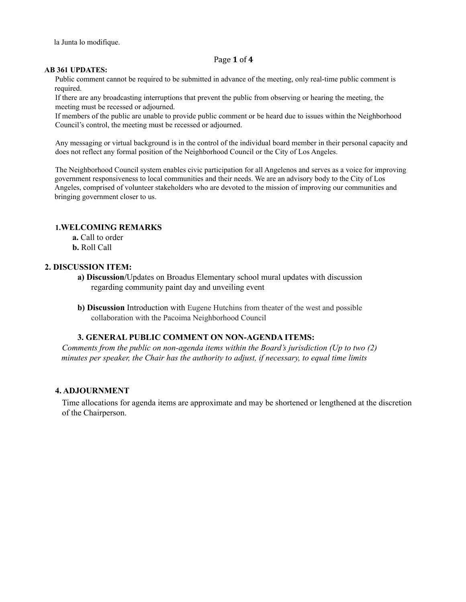la Junta lo modifique.

#### Page **1** of **4**

#### **AB 361 UPDATES:**

Public comment cannot be required to be submitted in advance of the meeting, only real-time public comment is required.

If there are any broadcasting interruptions that prevent the public from observing or hearing the meeting, the meeting must be recessed or adjourned.

If members of the public are unable to provide public comment or be heard due to issues within the Neighborhood Council's control, the meeting must be recessed or adjourned.

Any messaging or virtual background is in the control of the individual board member in their personal capacity and does not reflect any formal position of the Neighborhood Council or the City of Los Angeles.

The Neighborhood Council system enables civic participation for all Angelenos and serves as a voice for improving government responsiveness to local communities and their needs. We are an advisory body to the City of Los Angeles, comprised of volunteer stakeholders who are devoted to the mission of improving our communities and bringing government closer to us.

# **1.WELCOMING REMARKS**

- **a.** Call to order
- **b.** Roll Call

# **2. DISCUSSION ITEM:**

- **a) Discussion/**Updates on Broadus Elementary school mural updates with discussion regarding community paint day and unveiling event
- **b) Discussion** Introduction with Eugene Hutchins from theater of the west and possible collaboration with the Pacoima Neighborhood Council

#### **3. GENERAL PUBLIC COMMENT ON NON-AGENDA ITEMS:**

*Comments from the public on non-agenda items within the Board's jurisdiction (Up to two (2) minutes per speaker, the Chair has the authority to adjust, if necessary, to equal time limits*

# **4. ADJOURNMENT**

Time allocations for agenda items are approximate and may be shortened or lengthened at the discretion of the Chairperson.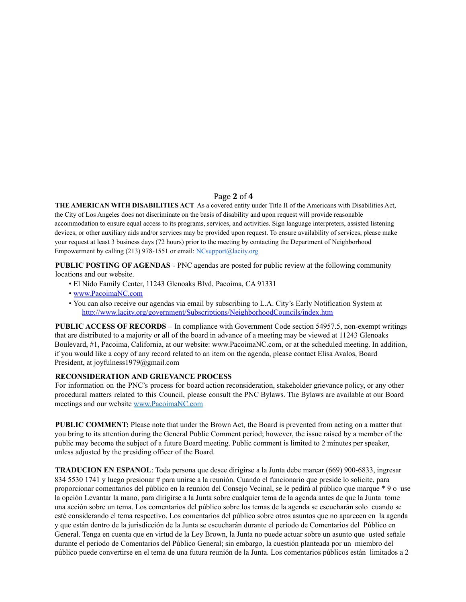#### Page **2** of **4**

**THE AMERICAN WITH DISABILITIES ACT** As a covered entity under Title II of the Americans with Disabilities Act, the City of Los Angeles does not discriminate on the basis of disability and upon request will provide reasonable accommodation to ensure equal access to its programs, services, and activities. Sign language interpreters, assisted listening devices, or other auxiliary aids and/or services may be provided upon request. To ensure availability of services, please make your request at least 3 business days (72 hours) prior to the meeting by contacting the Department of Neighborhood Empowerment by calling (213) 978-1551 or email: NCsupport@lacity.org

**PUBLIC POSTING OF AGENDAS** - PNC agendas are posted for public review at the following community locations and our website.

- El Nido Family Center, 11243 Glenoaks Blvd, Pacoima, CA 91331
- www.PacoimaNC.com
- You can also receive our agendas via email by subscribing to L.A. City's Early Notification System at http://www.lacity.org/government/Subscriptions/NeighborhoodCouncils/index.htm

**PUBLIC ACCESS OF RECORDS –** In compliance with Government Code section 54957.5, non-exempt writings that are distributed to a majority or all of the board in advance of a meeting may be viewed at 11243 Glenoaks Boulevard, #1, Pacoima, California, at our website: www.PacoimaNC.com, or at the scheduled meeting. In addition, if you would like a copy of any record related to an item on the agenda, please contact Elisa Avalos, Board President, at joyfulness1979@gmail.com

#### **RECONSIDERATION AND GRIEVANCE PROCESS**

For information on the PNC's process for board action reconsideration, stakeholder grievance policy, or any other procedural matters related to this Council, please consult the PNC Bylaws. The Bylaws are available at our Board meetings and our website www.PacoimaNC.com

**PUBLIC COMMENT:** Please note that under the Brown Act, the Board is prevented from acting on a matter that you bring to its attention during the General Public Comment period; however, the issue raised by a member of the public may become the subject of a future Board meeting. Public comment is limited to 2 minutes per speaker, unless adjusted by the presiding officer of the Board.

**TRADUCION EN ESPANOL**: Toda persona que desee dirigirse a la Junta debe marcar (669) 900-6833, ingresar 834 5530 1741 y luego presionar # para unirse a la reunión. Cuando el funcionario que preside lo solicite, para proporcionar comentarios del público en la reunión del Consejo Vecinal, se le pedirá al público que marque \* 9 o use la opción Levantar la mano, para dirigirse a la Junta sobre cualquier tema de la agenda antes de que la Junta tome una acción sobre un tema. Los comentarios del público sobre los temas de la agenda se escucharán solo cuando se esté considerando el tema respectivo. Los comentarios del público sobre otros asuntos que no aparecen en la agenda y que están dentro de la jurisdicción de la Junta se escucharán durante el período de Comentarios del Público en General. Tenga en cuenta que en virtud de la Ley Brown, la Junta no puede actuar sobre un asunto que usted señale durante el período de Comentarios del Público General; sin embargo, la cuestión planteada por un miembro del público puede convertirse en el tema de una futura reunión de la Junta. Los comentarios públicos están limitados a 2